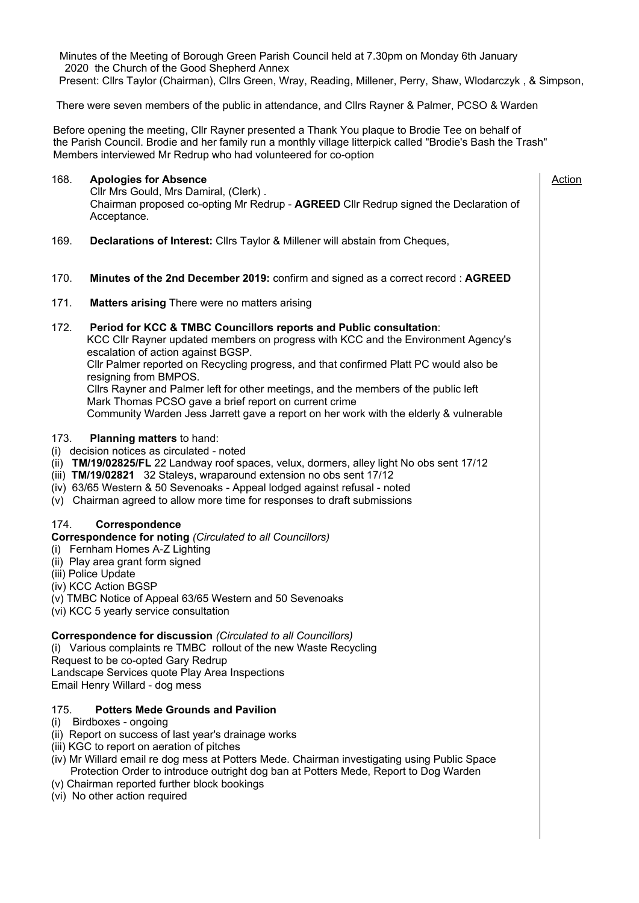Minutes of the Meeting of Borough Green Parish Council held at 7.30pm on Monday 6th January 2020 the Church of the Good Shepherd Annex Present: Cllrs Taylor (Chairman), Cllrs Green, Wray, Reading, Millener, Perry, Shaw, Wlodarczyk , & Simpson,

There were seven members of the public in attendance, and Cllrs Rayner & Palmer, PCSO & Warden

Before opening the meeting, Cllr Rayner presented a Thank You plaque to Brodie Tee on behalf of the Parish Council. Brodie and her family run a monthly village litterpick called "Brodie's Bash the Trash" Members interviewed Mr Redrup who had volunteered for co-option

## 168. **Apologies for Absence**

Action

 Cllr Mrs Gould, Mrs Damiral, (Clerk) . Chairman proposed co-opting Mr Redrup - **AGREED** Cllr Redrup signed the Declaration of Acceptance.

- 169. **Declarations of Interest:** Cllrs Taylor & Millener will abstain from Cheques,
- 170. **Minutes of the 2nd December 2019:** confirm and signed as a correct record : **AGREED**
- 171. **Matters arising** There were no matters arising

## 172. **Period for KCC & TMBC Councillors reports and Public consultation**:

 KCC Cllr Rayner updated members on progress with KCC and the Environment Agency's escalation of action against BGSP.

 Cllr Palmer reported on Recycling progress, and that confirmed Platt PC would also be resigning from BMPOS.

 Cllrs Rayner and Palmer left for other meetings, and the members of the public left Mark Thomas PCSO gave a brief report on current crime Community Warden Jess Jarrett gave a report on her work with the elderly & vulnerable

# 173. **Planning matters** to hand:

- (i) decision notices as circulated noted
- (ii) **TM/19/02825/FL** 22 Landway roof spaces, velux, dormers, alley light No obs sent 17/12
- (iii) **TM/19/02821** 32 Staleys, wraparound extension no obs sent 17/12
- (iv) 63/65 Western & 50 Sevenoaks Appeal lodged against refusal noted
- (v) Chairman agreed to allow more time for responses to draft submissions

#### 174. **Correspondence**

**Correspondence for noting** *(Circulated to all Councillors)*

- (i) Fernham Homes A-Z Lighting
- (ii) Play area grant form signed
- (iii) Police Update
- (iv) KCC Action BGSP
- (v) TMBC Notice of Appeal 63/65 Western and 50 Sevenoaks
- (vi) KCC 5 yearly service consultation

#### **Correspondence for discussion** *(Circulated to all Councillors)*

(i) Various complaints re TMBC rollout of the new Waste Recycling Request to be co-opted Gary Redrup Landscape Services quote Play Area Inspections Email Henry Willard - dog mess

#### 175. **Potters Mede Grounds and Pavilion**

- (i) Birdboxes ongoing
- (ii) Report on success of last year's drainage works
- (iii) KGC to report on aeration of pitches
- (iv) Mr Willard email re dog mess at Potters Mede. Chairman investigating using Public Space Protection Order to introduce outright dog ban at Potters Mede, Report to Dog Warden
- (v) Chairman reported further block bookings
- (vi) No other action required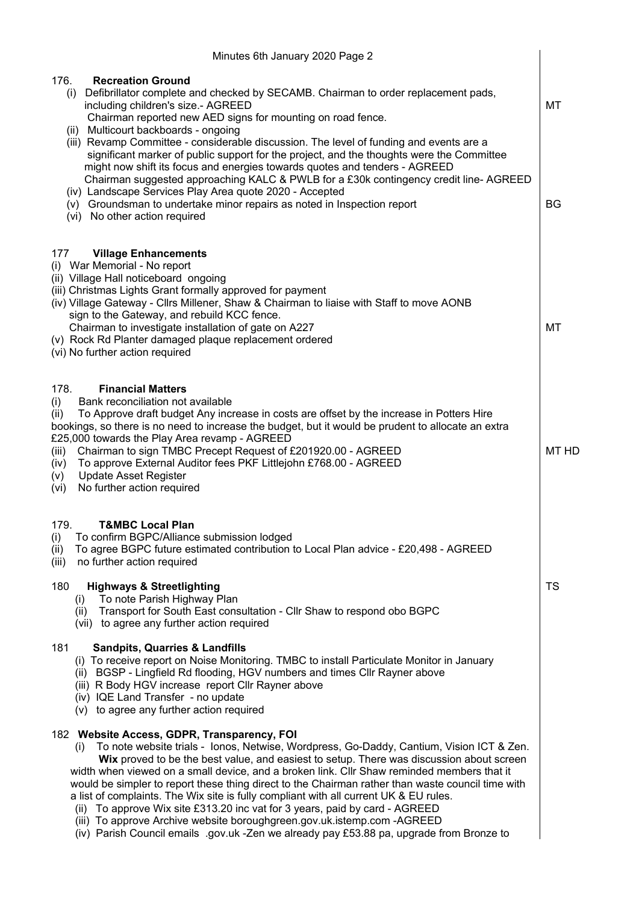| Minutes 6th January 2020 Page 2                                                                                                                                                                                                                                                                                                                                                                                                                                                                                                                                                                                                                                                                                                                                                                                |                 |  |  |  |  |
|----------------------------------------------------------------------------------------------------------------------------------------------------------------------------------------------------------------------------------------------------------------------------------------------------------------------------------------------------------------------------------------------------------------------------------------------------------------------------------------------------------------------------------------------------------------------------------------------------------------------------------------------------------------------------------------------------------------------------------------------------------------------------------------------------------------|-----------------|--|--|--|--|
| 176.<br><b>Recreation Ground</b><br>Defibrillator complete and checked by SECAMB. Chairman to order replacement pads,<br>(i)<br>including children's size.- AGREED<br>Chairman reported new AED signs for mounting on road fence.<br>(ii) Multicourt backboards - ongoing<br>(iii) Revamp Committee - considerable discussion. The level of funding and events are a<br>significant marker of public support for the project, and the thoughts were the Committee<br>might now shift its focus and energies towards quotes and tenders - AGREED<br>Chairman suggested approaching KALC & PWLB for a £30k contingency credit line-AGREED<br>(iv) Landscape Services Play Area quote 2020 - Accepted<br>(v) Groundsman to undertake minor repairs as noted in Inspection report<br>(vi) No other action required | МT<br><b>BG</b> |  |  |  |  |
| 177<br><b>Village Enhancements</b><br>(i) War Memorial - No report<br>(ii) Village Hall noticeboard ongoing<br>(iii) Christmas Lights Grant formally approved for payment<br>(iv) Village Gateway - Cllrs Millener, Shaw & Chairman to liaise with Staff to move AONB<br>sign to the Gateway, and rebuild KCC fence.<br>Chairman to investigate installation of gate on A227<br>(v) Rock Rd Planter damaged plaque replacement ordered<br>(vi) No further action required                                                                                                                                                                                                                                                                                                                                      | МT              |  |  |  |  |
| 178.<br><b>Financial Matters</b><br>Bank reconciliation not available<br>(i)<br>To Approve draft budget Any increase in costs are offset by the increase in Potters Hire<br>(ii)<br>bookings, so there is no need to increase the budget, but it would be prudent to allocate an extra<br>£25,000 towards the Play Area revamp - AGREED<br>Chairman to sign TMBC Precept Request of £201920.00 - AGREED<br>(iii)<br>To approve External Auditor fees PKF Littlejohn £768.00 - AGREED<br>(iv)<br><b>Update Asset Register</b><br>(v)<br>No further action required<br>(vi)                                                                                                                                                                                                                                      | MT HD           |  |  |  |  |
| 179.<br><b>T&amp;MBC Local Plan</b><br>To confirm BGPC/Alliance submission lodged<br>(i)<br>To agree BGPC future estimated contribution to Local Plan advice - £20,498 - AGREED<br>(ii)<br>(iii)<br>no further action required<br>180<br><b>Highways &amp; Streetlighting</b><br>To note Parish Highway Plan<br>(i)<br>Transport for South East consultation - Cllr Shaw to respond obo BGPC<br>(ii)<br>(vii) to agree any further action required                                                                                                                                                                                                                                                                                                                                                             | TS              |  |  |  |  |
| 181<br><b>Sandpits, Quarries &amp; Landfills</b><br>(i) To receive report on Noise Monitoring. TMBC to install Particulate Monitor in January<br>(ii) BGSP - Lingfield Rd flooding, HGV numbers and times Cllr Rayner above<br>(iii) R Body HGV increase report Cllr Rayner above<br>(iv) IQE Land Transfer - no update<br>(v) to agree any further action required                                                                                                                                                                                                                                                                                                                                                                                                                                            |                 |  |  |  |  |
| 182 Website Access, GDPR, Transparency, FOI<br>To note website trials - lonos, Netwise, Wordpress, Go-Daddy, Cantium, Vision ICT & Zen.<br>(i)<br>Wix proved to be the best value, and easiest to setup. There was discussion about screen<br>width when viewed on a small device, and a broken link. Cllr Shaw reminded members that it<br>would be simpler to report these thing direct to the Chairman rather than waste council time with<br>a list of complaints. The Wix site is fully compliant with all current UK & EU rules.<br>To approve Wix site £313.20 inc vat for 3 years, paid by card - AGREED<br>(ii)<br>(iii) To approve Archive website boroughgreen.gov.uk.istemp.com - AGREED<br>(iv) Parish Council emails .gov.uk -Zen we already pay £53.88 pa, upgrade from Bronze to               |                 |  |  |  |  |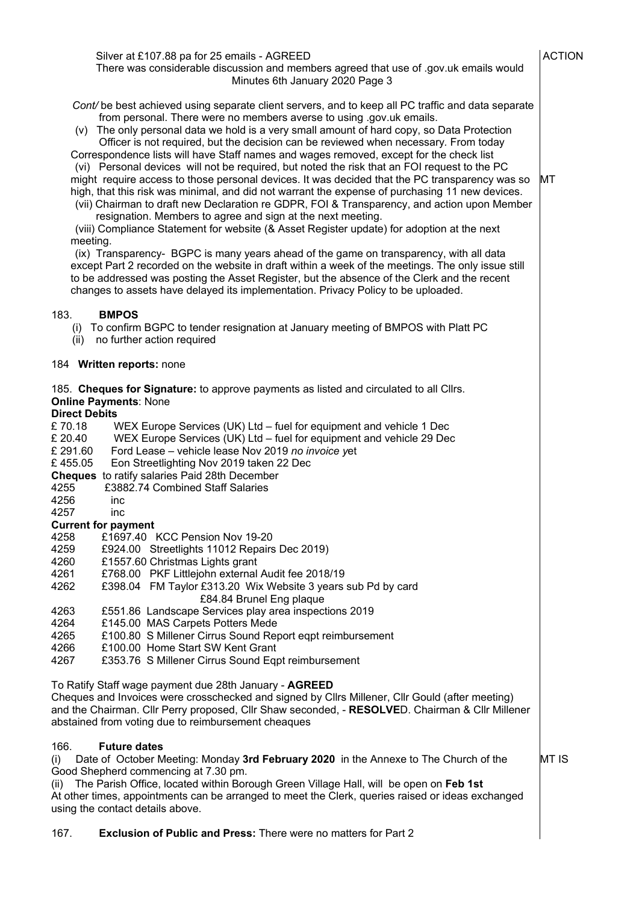| Silver at £107.88 pa for 25 emails - AGREED<br>There was considerable discussion and members agreed that use of .gov.uk emails would<br>Minutes 6th January 2020 Page 3                                                                                                                                                                                                                                                                                                                                                                                                                                                                                                                                                                                                                                                                                                                                                                                                                                                                                                                                                                                                                                                                                                                                                                                                                                                      | <b>ACTION</b> |
|------------------------------------------------------------------------------------------------------------------------------------------------------------------------------------------------------------------------------------------------------------------------------------------------------------------------------------------------------------------------------------------------------------------------------------------------------------------------------------------------------------------------------------------------------------------------------------------------------------------------------------------------------------------------------------------------------------------------------------------------------------------------------------------------------------------------------------------------------------------------------------------------------------------------------------------------------------------------------------------------------------------------------------------------------------------------------------------------------------------------------------------------------------------------------------------------------------------------------------------------------------------------------------------------------------------------------------------------------------------------------------------------------------------------------|---------------|
| Cont/ be best achieved using separate client servers, and to keep all PC traffic and data separate<br>from personal. There were no members averse to using .gov.uk emails.<br>(v) The only personal data we hold is a very small amount of hard copy, so Data Protection<br>Officer is not required, but the decision can be reviewed when necessary. From today<br>Correspondence lists will have Staff names and wages removed, except for the check list<br>(vi) Personal devices will not be required, but noted the risk that an FOI request to the PC<br>might require access to those personal devices. It was decided that the PC transparency was so<br>high, that this risk was minimal, and did not warrant the expense of purchasing 11 new devices.<br>(vii) Chairman to draft new Declaration re GDPR, FOI & Transparency, and action upon Member<br>resignation. Members to agree and sign at the next meeting.<br>(viii) Compliance Statement for website (& Asset Register update) for adoption at the next<br>meeting.<br>(ix) Transparency- BGPC is many years ahead of the game on transparency, with all data<br>except Part 2 recorded on the website in draft within a week of the meetings. The only issue still<br>to be addressed was posting the Asset Register, but the absence of the Clerk and the recent<br>changes to assets have delayed its implementation. Privacy Policy to be uploaded. | MT            |
| 183.<br><b>BMPOS</b><br>(i) To confirm BGPC to tender resignation at January meeting of BMPOS with Platt PC<br>(ii) no further action required                                                                                                                                                                                                                                                                                                                                                                                                                                                                                                                                                                                                                                                                                                                                                                                                                                                                                                                                                                                                                                                                                                                                                                                                                                                                               |               |
| 184 Written reports: none                                                                                                                                                                                                                                                                                                                                                                                                                                                                                                                                                                                                                                                                                                                                                                                                                                                                                                                                                                                                                                                                                                                                                                                                                                                                                                                                                                                                    |               |
| 185. Cheques for Signature: to approve payments as listed and circulated to all Cllrs.<br><b>Online Payments: None</b><br><b>Direct Debits</b><br>WEX Europe Services (UK) Ltd - fuel for equipment and vehicle 1 Dec<br>£ 70.18<br>£ 20.40<br>WEX Europe Services (UK) Ltd - fuel for equipment and vehicle 29 Dec<br>£ 291.60<br>Ford Lease - vehicle lease Nov 2019 no invoice yet<br>£455.05<br>Eon Streetlighting Nov 2019 taken 22 Dec<br>Cheques to ratify salaries Paid 28th December<br>£3882.74 Combined Staff Salaries<br>4255<br>4256<br>inc<br>4257<br>inc                                                                                                                                                                                                                                                                                                                                                                                                                                                                                                                                                                                                                                                                                                                                                                                                                                                      |               |
| <b>Current for payment</b><br>4258<br>£1697.40 KCC Pension Nov 19-20<br>4259<br>£924.00 Streetlights 11012 Repairs Dec 2019)<br>4260<br>£1557.60 Christmas Lights grant<br>4261<br>£768.00 PKF Littlejohn external Audit fee 2018/19<br>4262<br>£398.04 FM Taylor £313.20 Wix Website 3 years sub Pd by card<br>£84.84 Brunel Eng plaque<br>4263<br>£551.86 Landscape Services play area inspections 2019<br>4264<br>£145.00 MAS Carpets Potters Mede<br>4265<br>£100.80 S Millener Cirrus Sound Report eqpt reimbursement<br>£100.00 Home Start SW Kent Grant<br>4266<br>£353.76 S Millener Cirrus Sound Eqpt reimbursement<br>4267                                                                                                                                                                                                                                                                                                                                                                                                                                                                                                                                                                                                                                                                                                                                                                                         |               |
| To Ratify Staff wage payment due 28th January - AGREED<br>Cheques and Invoices were crosschecked and signed by Cllrs Millener, Cllr Gould (after meeting)<br>and the Chairman. Cllr Perry proposed, Cllr Shaw seconded, - RESOLVED. Chairman & Cllr Millener<br>abstained from voting due to reimbursement cheaques                                                                                                                                                                                                                                                                                                                                                                                                                                                                                                                                                                                                                                                                                                                                                                                                                                                                                                                                                                                                                                                                                                          |               |
| 166.<br><b>Future dates</b><br>Date of October Meeting: Monday 3rd February 2020 in the Annexe to The Church of the<br>(i)<br>Good Shepherd commencing at 7.30 pm.<br>(ii) The Parish Office, located within Borough Green Village Hall, will be open on Feb 1st<br>At other times, appointments can be arranged to meet the Clerk, queries raised or ideas exchanged<br>using the contact details above.                                                                                                                                                                                                                                                                                                                                                                                                                                                                                                                                                                                                                                                                                                                                                                                                                                                                                                                                                                                                                    | MT IS         |
| <b>Exclusion of Public and Press: There were no matters for Part 2</b><br>167.                                                                                                                                                                                                                                                                                                                                                                                                                                                                                                                                                                                                                                                                                                                                                                                                                                                                                                                                                                                                                                                                                                                                                                                                                                                                                                                                               |               |